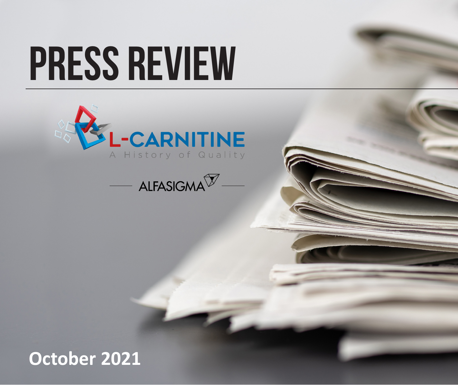# **PRESS REVIEW**





## **October 2021**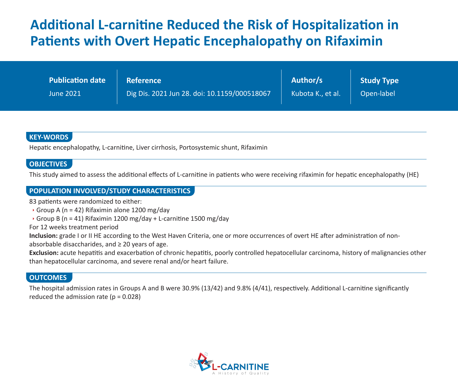## **Additional L-carnitine Reduced the Risk of Hospitalization in Patients with Overt Hepatic Encephalopathy on Rifaximin**

| <b>Publication date</b> | <b>Reference</b>                             | Author/s          | Study Type |
|-------------------------|----------------------------------------------|-------------------|------------|
| <b>June 2021</b>        | Dig Dis. 2021 Jun 28. doi: 10.1159/000518067 | Kubota K., et al. | Open-label |

#### **KEY-WORDS**

Hepatic encephalopathy, L-carnitine, Liver cirrhosis, Portosystemic shunt, Rifaximin

#### **OBJECTIVES**

This study aimed to assess the additional effects of L-carnitine in patients who were receiving rifaximin for hepatic encephalopathy (HE)

#### **POPULATION INVOLVED/STUDY CHARACTERISTICS**

83 patients were randomized to either:

- Group A ( $n = 42$ ) Rifaximin alone 1200 mg/day
- Group B (n = 41) Rifaximin 1200 mg/day + L-carnitine 1500 mg/day

For 12 weeks treatment period

Inclusion: grade I or II HE according to the West Haven Criteria, one or more occurrences of overt HE after administration of non-

absorbable disaccharides, and  $\geq 20$  years of age.

**Exclusion:** acute hepatitis and exacerbation of chronic hepatitis, poorly controlled hepatocellular carcinoma, history of malignancies other than hepatocellular carcinoma, and severe renal and/or heart failure.

#### **OUTCOMES**

The hospital admission rates in Groups A and B were 30.9% (13/42) and 9.8% (4/41), respectively. Additional L-carnitine significantly reduced the admission rate ( $p = 0.028$ )

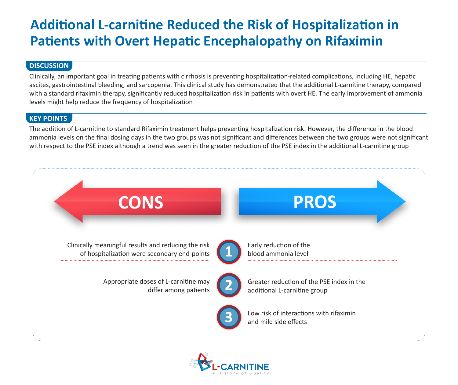## **Additional L-carnitine Reduced the Risk of Hospitalization in Patients with Overt Hepatic Encephalopathy on Rifaximin**

#### **DISCUSSION**

Clinically, an important goal in treating patients with cirrhosis is preventing hospitalization-related complications, including HE, hepatic ascites, gastrointestinal bleeding, and sarcopenia. This clinical study has demonstrated that the additional L-carnitine therapy, compared with a standard rifaximin therapy, significantly reduced hospitalization risk in patients with overt HE. The early improvement of ammonia levels might help reduce the frequency of hospitalization

#### **KEY POINTS**

The addition of L-carnitine to standard Rifaximin treatment helps preventing hospitalization risk. However, the difference in the blood ammonia levels on the final dosing days in the two groups was not significant and differences between the two groups were not significant with respect to the PSE index although a trend was seen in the greater reduction of the PSE index in the additional L-carnitine group



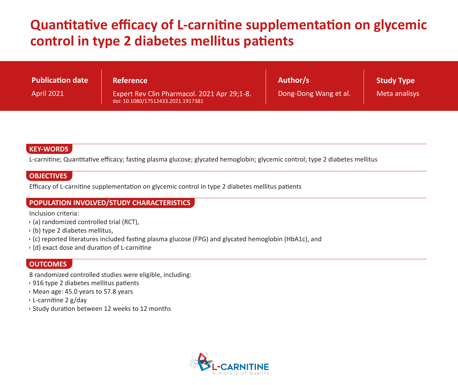## **Quantitative efficacy of L-carnitine supplementation on glycemic control in type 2 diabetes mellitus patients**

| Publication date  | <b>Reference</b>                                                                  | Author/s              | Study Type    |
|-------------------|-----------------------------------------------------------------------------------|-----------------------|---------------|
| <b>April 2021</b> | Expert Rev Clin Pharmacol. 2021 Apr 29;1-8.<br>doi: 10.1080/17512433.2021.1917381 | Dong-Dong Wang et al. | Meta analisys |

#### **KEY-WORDS**

L-carnitine; Quantitative efficacy; fasting plasma glucose; glycated hemoglobin; glycemic control; type 2 diabetes mellitus

#### **OBJECTIVES**

Efficacy of L-carnitine supplementation on glycemic control in type 2 diabetes mellitus patients

#### **POPULATION INVOLVED/STUDY CHARACTERISTICS**

Inclusion criteria:

- $\rightarrow$  (a) randomized controlled trial (RCT),
- $\cdot$  (b) type 2 diabetes mellitus,
- (c) reported literatures included fasting plasma glucose (FPG) and glycated hemoglobin (HbA1c), and
- (d) exact dose and duration of L-carnitine

#### **OUTCOMES**

8 randomized controlled studies were eligible, including:

- ▶ 916 type 2 diabetes mellitus patients
- Mean age: 45.0 years to 57.8 years
- L-carnitine 2 g/day
- Study duration between 12 weeks to 12 months

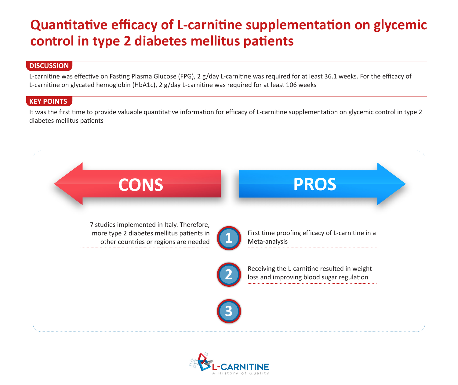## **Quantitative efficacy of L-carnitine supplementation on glycemic control in type 2 diabetes mellitus patients**

#### **DISCUSSION**

L-carnitine was effective on Fasting Plasma Glucose (FPG), 2 g/day L-carnitine was required for at least 36.1 weeks. For the efficacy of L-carnitine on glycated hemoglobin (HbA1c), 2 g/day L-carnitine was required for at least 106 weeks

#### **KEY POINTS**

It was the first time to provide valuable quantitative information for efficacy of L-carnitine supplementation on glycemic control in type 2 diabetes mellitus patients



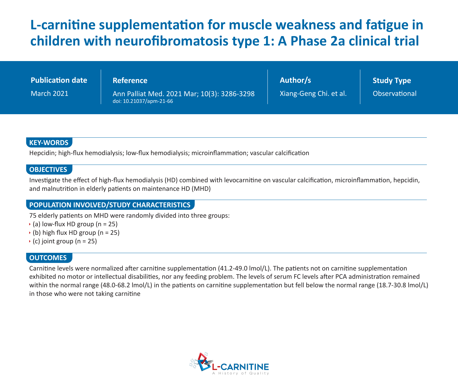## **L-carnitine supplementation for muscle weakness and fatigue in children with neurofibromatosis type 1: A Phase 2a clinical trial**

| <b>Publication date</b> | <b>Reference</b>                                                       | Author/s               | <b>Study Type</b>    |
|-------------------------|------------------------------------------------------------------------|------------------------|----------------------|
| <b>March 2021</b>       | Ann Palliat Med. 2021 Mar; 10(3): 3286-3298<br>doi: 10.21037/apm-21-66 | Xiang-Geng Chi. et al. | <b>Observational</b> |

#### **KEY-WORDS**

Hepcidin; high-flux hemodialysis; low-flux hemodialysis; microinflammation; vascular calcification

#### **OBJECTIVES**

Investigate the effect of high-flux hemodialysis (HD) combined with levocarnitine on vascular calcification, microinflammation, hepcidin, and malnutrition in elderly patients on maintenance HD (MHD)

#### **POPULATION INVOLVED/STUDY CHARACTERISTICS**

75 elderly patients on MHD were randomly divided into three groups:

- $\rightarrow$  (a) low-flux HD group (n = 25)
- $\rightarrow$  (b) high flux HD group (n = 25)
- $\rightarrow$  (c) joint group (n = 25)

#### **OUTCOMES**

Carnitine levels were normalized after carnitine supplementation (41.2-49.0 lmol/L). The patients not on carnitine supplementation exhibited no motor or intellectual disabilities, nor any feeding problem. The levels of serum FC levels after PCA administration remained within the normal range (48.0-68.2 lmol/L) in the patients on carnitine supplementation but fell below the normal range (18.7-30.8 lmol/L) in those who were not taking carnitine

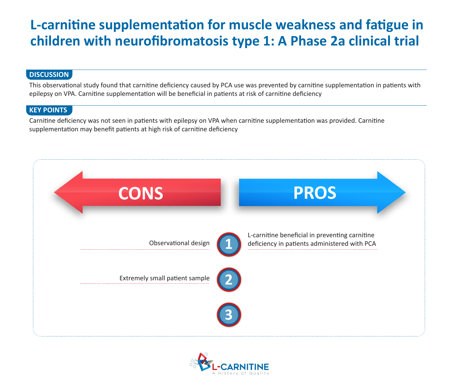## **L-carnitine supplementation for muscle weakness and fatigue in children with neurofibromatosis type 1: A Phase 2a clinical trial**

#### **DISCUSSION**

This observational study found that carnitine deficiency caused by PCA use was prevented by carnitine supplementation in patients with epilepsy on VPA. Carnitine supplementation will be beneficial in patients at risk of carnitine deficiency

#### **KEY POINTS**

Carnitine deficiency was not seen in patients with epilepsy on VPA when carnitine supplementation was provided. Carnitine supplementation may benefit patients at high risk of carnitine deficiency



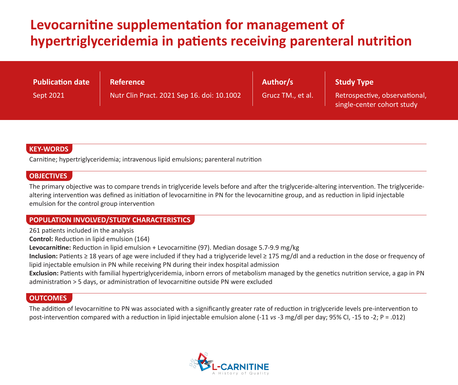## **Levocarnitine supplementation for management of hypertriglyceridemia in patients receiving parenteral nutrition**

| <b>Publication date</b> | <b>Reference</b>                           | Author/s          | <b>Study Type</b>                                           |
|-------------------------|--------------------------------------------|-------------------|-------------------------------------------------------------|
| Sept 2021               | Nutr Clin Pract. 2021 Sep 16. doi: 10.1002 | Grucz TM., et al. | Retrospective, observational,<br>single-center cohort study |

#### **KEY-WORDS**

Carnitine; hypertriglyceridemia; intravenous lipid emulsions; parenteral nutrition

#### **OBJECTIVES**

The primary objective was to compare trends in triglyceride levels before and after the triglyceride-altering intervention. The triglyceridealtering intervention was defined as initiation of levocarnitine in PN for the levocarnitine group, and as reduction in lipid injectable emulsion for the control group intervention

#### **POPULATION INVOLVED/STUDY CHARACTERISTICS**

261 patients included in the analysis

**Control:** Reduction in lipid emulsion (164)

**Levocarnitine:** Reduction in lipid emulsion + Levocarnitine (97). Median dosage 5.7-9.9 mg/kg

**Inclusion:** Patients ≥ 18 years of age were included if they had a triglyceride level ≥ 175 mg/dl and a reduction in the dose or frequency of lipid injectable emulsion in PN while receiving PN during their index hospital admission

**Exclusion:** Patients with familial hypertriglyceridemia, inborn errors of metabolism managed by the genetics nutrition service, a gap in PN administration > 5 days, or administration of levocarnitine outside PN were excluded

#### **OUTCOMES**

The addition of levocarnitine to PN was associated with a significantly greater rate of reduction in triglyceride levels pre-intervention to post-intervention compared with a reduction in lipid injectable emulsion alone (-11 *vs* -3 mg/dl per day; 95% CI, -15 to -2; P = .012)

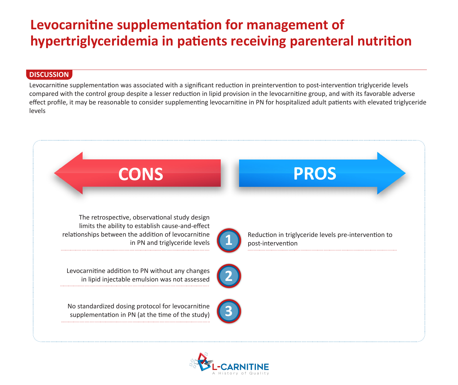## **Levocarnitine supplementation for management of hypertriglyceridemia in patients receiving parenteral nutrition**

#### **DISCUSSION**

Levocarnitine supplementation was associated with a significant reduction in preintervention to post-intervention triglyceride levels compared with the control group despite a lesser reduction in lipid provision in the levocarnitine group, and with its favorable adverse effect profile, it may be reasonable to consider supplementing levocarnitine in PN for hospitalized adult patients with elevated triglyceride levels



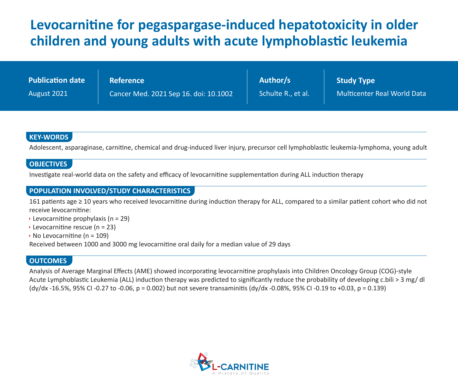## **Levocarnitine for pegaspargase-induced hepatotoxicity in older children and young adults with acute lymphoblastic leukemia**

| <b>Publication date</b> | <b>Reference</b>                      | Author/s           | <b>Study Type</b>                  |
|-------------------------|---------------------------------------|--------------------|------------------------------------|
| August 2021             | Cancer Med. 2021 Sep 16. doi: 10.1002 | Schulte R., et al. | <b>Multicenter Real World Data</b> |

#### **KEY-WORDS**

Adolescent, asparaginase, carnitine, chemical and drug-induced liver injury, precursor cell lymphoblastic leukemia-lymphoma, young adult

#### **OBJECTIVES**

Investigate real-world data on the safety and efficacy of levocarnitine supplementation during ALL induction therapy

#### **POPULATION INVOLVED/STUDY CHARACTERISTICS**

161 patients age ≥ 10 years who received levocarnitine during induction therapy for ALL, compared to a similar patient cohort who did not receive levocarnitine:

- Eevocarnitine prophylaxis ( $n = 29$ )
- Eevocarnitine rescue (n = 23)
- $\rightarrow$  No Levocarnitine (n = 109)

Received between 1000 and 3000 mg levocarnitine oral daily for a median value of 29 days

#### **OUTCOMES**

Analysis of Average Marginal Effects (AME) showed incorporating levocarnitine prophylaxis into Children Oncology Group (COG)-style Acute Lymphoblastic Leukemia (ALL) induction therapy was predicted to significantly reduce the probability of developing c.bili > 3 mg/ dl (dy/dx -16.5%, 95% CI -0.27 to -0.06, p = 0.002) but not severe transaminitis (dy/dx -0.08%, 95% CI -0.19 to +0.03, p = 0.139)